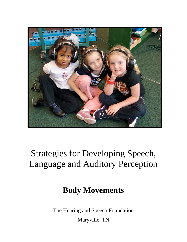

# Strategies for Developing Speech, Language and Auditory Perception

## **Body Movements**

The Hearing and Speech Foundation

Maryville, TN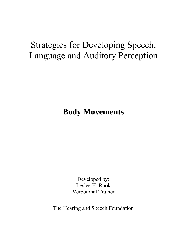## Strategies for Developing Speech, Language and Auditory Perception

**Body Movements** 

Developed by: Leslee H. Rook Verbotonal Trainer

The Hearing and Speech Foundation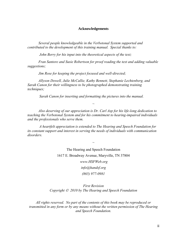#### **Acknowledgements**

*Several people knowledgeable in the Verbotonal System supported and contributed to the development of this training manual. Special thanks to:* 

*John Berry for his input into the theoretical aspects of the text;* 

*Fran Santore and Susie Robertson for proof reading the text and adding valuable suggestions;* 

*Jim Rose for keeping the project focused and well-directed;* 

*Allyson Dowell, Julie McCallie, Kathy Bennett, Stephanie Lechtenberg, and Sarah Canon for their willingness to be photographed demonstrating training techniques;* 

*Sarah Canon for inserting and formatting the pictures into the manual.* 

*Also deserving of our appreciation is Dr. Carl Asp for his life-long dedication to teaching the Verbotonal System and for his commitment to hearing-impaired individuals and the professionals who serve them.* 

*~* 

*A heartfelt appreciation is extended to The Hearing and Speech Foundation for its constant support and interest in serving the needs of individuals with communication disorders.* 

*~* 

The Hearing and Speech Foundation 1617 E. Broadway Avenue, Maryville, TN 37804 *www.HSFWeb.org info@handsf.org (865) 977-0981* 

*First Revision Copyright 2010 by The Hearing and Speech Foundation* 

*All rights reserved. No part of the contents of this book may be reproduced or transmitted in any form or by any means without the written permission of The Hearing and Speech Foundation.*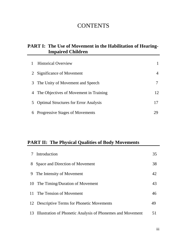## **CONTENTS**

#### **PART I: The Use of Movement in the Habilitation of Hearing- Impaired Children**

|                | <b>Historical Overview</b>                   |    |
|----------------|----------------------------------------------|----|
| 2              | Significance of Movement                     |    |
| 3              | The Unity of Movement and Speech             |    |
| 4              | The Objectives of Movement in Training       | 12 |
| 5 <sup>5</sup> | <b>Optimal Structures for Error Analysis</b> |    |
| 6              | Progressive Stages of Movements              |    |

### **PART II: The Physical Qualities of Body Movements**

| Introduction                                                  | 35 |
|---------------------------------------------------------------|----|
| Space and Direction of Movement<br>8                          | 38 |
| The Intensity of Movement<br>9                                | 42 |
| The Timing/Duration of Movement<br>10                         | 43 |
| The Tension of Movement<br>11                                 | 46 |
| 12 Descriptive Terms for Phonetic Movements                   | 49 |
| 13 Illustration of Phonetic Analysis of Phonemes and Movement | 51 |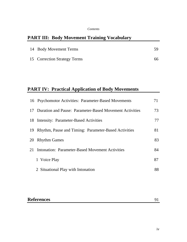#### *Contents*

## **PART III: Body Movement Training Vocabulary**

| 14 Body Movement Terms       | 59  |
|------------------------------|-----|
| 15 Correction Strategy Terms | 66. |

## **PART IV: Practical Application of Body Movements**

|    | 16 Psychomotor Activities: Parameter-Based Movements    |    |
|----|---------------------------------------------------------|----|
| 17 | Duration and Pause: Parameter-Based Movement Activities | 73 |
|    | 18 Intensity: Parameter-Based Activities                | 77 |
| 19 | Rhythm, Pause and Timing: Parameter-Based Activities    | 81 |
| 20 | <b>Rhythm Games</b>                                     | 83 |
|    | 21 Intonation: Parameter-Based Movement Activities      | 84 |
|    | 1 Voice Play                                            | 87 |
|    | 2 Situational Play with Intonation                      | 88 |

## **References** 91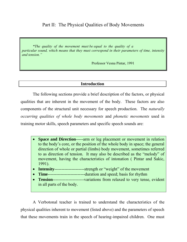#### Part II: The Physical Qualities of Body Movements

*"The quality of the movement must be equal to the quality of a particular sound, which means that they must correspond in their parameters of time, intensity and tension."*

Professor Vesna Pintar, 1991

#### **Introduction**

The following sections provide a brief description of the factors, or physical qualities that are inherent in the movement of the body. These factors are also components of the structural unit necessary for speech production. The *naturally occurring qualities of whole body movements* and *phonetic movements* used in training motor skills, speech parameters and specific speech sounds are:

- **Space and Direction**-----arm or leg placement or movement in relation to the body's core, or the position of the whole body in space; the general direction of whole or partial (limbs) body movement, sometimes referred to as direction of tension. It may also be described as the "melody" of movement, having the characteristics of intonation ( Pintar and Sakic, 1991).
- **Intensity**---------------------strength or "weight" of the movement
- **Time**--------------------------duration and speed; basis for rhythm
- **Tension**----------------------variations from relaxed to very tense, evident in all parts of the body.

A Verbotonal teacher is trained to understand the characteristics of the physical qualities inherent to movement (listed above) and the parameters of speech that these movements train in the speech of hearing-impaired children. One must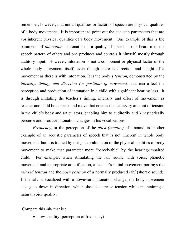remember, however, that not all qualities or factors of speech are physical qualities of a body movement. It is important to point out the acoustic parameters that are *not* inherent physical qualities of a body movement. One example of this is the parameter of *intonation.* Intonation is a quality of speech – one hears it in the speech pattern of others and one produces and controls it himself, mostly through auditory input. However, intonation is not a component or physical factor of the whole body movement itself, even though there is direction and height of a movement as there is with intonation. It is the body's *tension,* demonstrated by the *intensity, timing, and direction (or position) of movement,* that can affect the perception and production of intonation in a child with significant hearing loss. It is through imitating the teacher's timing, intensity and effort of movement as teacher and child both speak and move that creates the necessary amount of tension in the child's body and articulators, enabling him to auditorily and kinesthetically perceive and produce intonation changes in his vocalizations.

*Frequency*, or the perception of the *pitch (tonality)* of a sound, is another example of an acoustic parameter of speech that is not inherent in whole body movement, but it is trained by using a combination of the physical qualities of body movement to make that parameter more "perceivable" by the hearing-impaired child. For example, when stimulating the /ah/ sound with voice, phonetic movement and appropriate amplification, a teacher's initial movement portrays the *relaxed tension* and the *open position* of a normally produced /ah/ (short o sound). If the /ah/ is vocalized with a downward intonation change, the body movement also goes down in direction, which should decrease tension while maintaining a natural voice quality.

Compare this /ah/ that is :

• low-tonality (perception of frequency)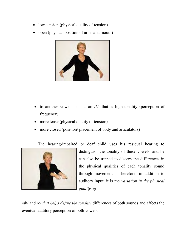- low-tension (physical quality of tension)
- open (physical position of arms and mouth)



- to another vowel such as an  $\overline{e}/$ , that is high-tonality (perception of frequency)
- more tense (physical quality of tension)
- more closed (position/ placement of body and articulators)

The hearing-impaired or deaf child uses his residual hearing to



distinguish the tonality of these vowels, and he can also be trained to discern the differences in the physical qualities of each tonality sound through movement. Therefore, in addition to auditory input, it is the *variation in the physical quality of* 

/ah/ and /ē/ *that helps define the tonality* differences of both sounds and affects the eventual auditory perception of both vowels.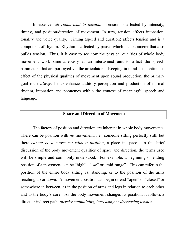In essence, *all roads lead to tension.* Tension is affected by intensity, timing, and position/direction of movement. In turn, tension affects intonation, tonality and voice quality. Timing (speed and duration) affects tension and is a component of rhythm. Rhythm is affected by pause, which is a parameter that also builds tension. Thus, it is easy to see how the physical qualities of whole body movement work simultaneously as an intertwined unit to affect the speech parameters that are portrayed via the articulators. Keeping in mind this continuous effect of the physical qualities of movement upon sound production, the primary goal must *always* be to enhance auditory perception and production of normal rhythm, intonation and phonemes within the context of meaningful speech and language.

#### **Space and Direction of Movement**

The factors of position and direction are inherent in whole body movements. There can be position with *no* movement, i.e., someone sitting perfectly still, but there *cannot be a movement without position*, a place in space. In this brief discussion of the body movement qualities of space and direction, the terms used will be simple and commonly understood. For example, a beginning or ending position of a movement can be "high", "low" or "mid-range". This can refer to the position of the entire body sitting vs. standing, or to the position of the arms reaching up or down. A movement position can begin or end "open" or "closed" or somewhere in between, as in the position of arms and legs in relation to each other and to the body's core. As the body movement changes its position, it follows a direct or indirect path, *thereby maintaining, increasing or decreasing tension.*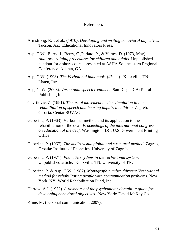#### References

- Armstrong, R.J. et al., (1970). *Developing and writing behavioral objectives.* Tucson, AZ: Educational Innovators Press.
- Asp, C.W., Berry, J., Berry, C.,Parlato, P., & Vertes, D. (1973, May). *Auditory training procedures for children and adults.* Unpublished handout for a short-course presented at ASHA Southeastern Regional Conference. Atlanta, GA.
- Asp, C.W. (1998). *The Verbotonal handbook*. (4<sup>th</sup> ed.). Knoxville, TN: Listen, Inc.
- Asp, C. W. (2006). *Verbotonal speech treatment.* San Diego, CA: Plural Publishing Inc.
- Gavrilovic, Z. (1991). *The art of movement as the stimulation in the rehabilitation of speech and hearing impaired children.* Zagreb, Croatia. Centar SUVAG.
- Guberina, P. (1963). Verbotonal method and its application to the rehabilitation of the deaf. *Proceedings of the international congress on education of the deaf.* Washington, DC: U.S. Government Printing Office.
- Guberina, P. (1967). *The audio-visual global and structural method.* Zagreb, Croatia: Institute of Phonetics, University of Zagreb.
- Guberina, P. (1971). *Phonetic rhythms in the verbo-tonal system*. Unpublished article. Knoxville, TN: University of TN.
- Guberina, P. & Asp, C.W. (1987). *Monograph number thirteen: Verbo-tonal method for rehabilitating people with communication problems.* New York, NY: World Rehabilitation Fund, Inc.
- Harrow, A.J. (1972). *A taxonomy of the psychomotor domain: a guide for developing behavioral objectives.* New York: David McKay Co.
- Kline, M. (personal communication, 2007).